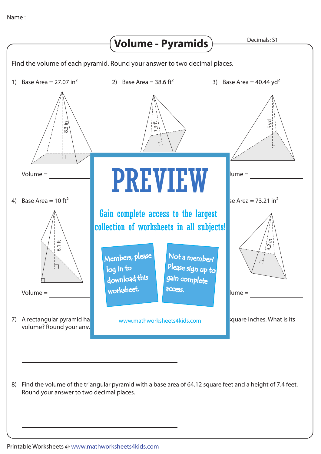